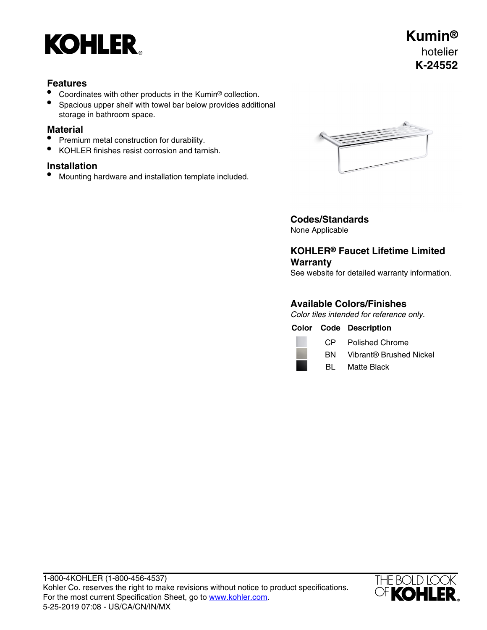

## **Features**

- Coordinates with other products in the Kumin® collection.
- Spacious upper shelf with towel bar below provides additional storage in bathroom space.

### **Material**

- Premium metal construction for durability.
- KOHLER finishes resist corrosion and tarnish.

## **Installation**

• Mounting hardware and installation template included.



# **Codes/Standards**

None Applicable

# **KOHLER® Faucet Lifetime Limited Warranty**

See website for detailed warranty information.

# **Available Colors/Finishes**

Color tiles intended for reference only.

|  | <b>Color Code Description</b> |
|--|-------------------------------|
|  |                               |

| CP. | <b>Polished Chrome</b> |
|-----|------------------------|
| --  | $\mathbf{v}$           |

- BN Vibrant® Brushed Nickel
- BL Matte Black